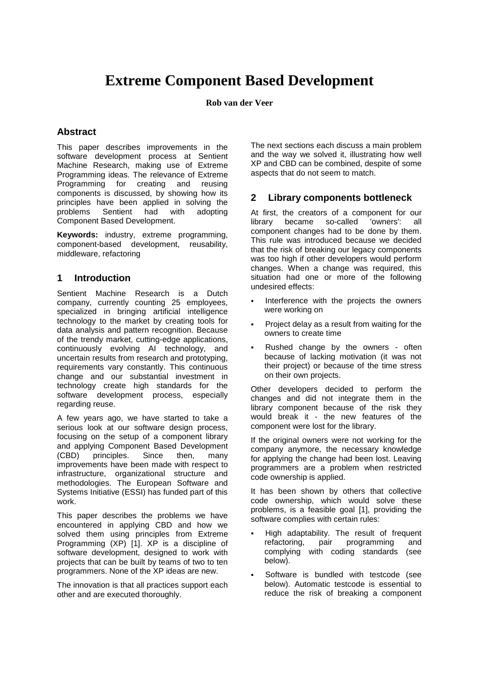# **Extreme Component Based Development**

**Rob van der Veer**

# **Abstract**

This paper describes improvements in the software development process at Sentient Machine Research, making use of Extreme Programming ideas. The relevance of Extreme Programming for creating and reusing components is discussed, by showing how its principles have been applied in solving the problems Sentient had with adopting Component Based Development.

**Keywords:** industry, extreme programming, component-based development, reusability, middleware, refactoring

#### **1 Introduction**

Sentient Machine Research is a Dutch company, currently counting 25 employees, specialized in bringing artificial intelligence technology to the market by creating tools for data analysis and pattern recognition. Because of the trendy market, cutting-edge applications, continuously evolving AI technology, and uncertain results from research and prototyping, requirements vary constantly. This continuous change and our substantial investment in technology create high standards for the software development process, especially regarding reuse.

A few years ago, we have started to take a serious look at our software design process, focusing on the setup of a component library and applying Component Based Development (CBD) principles. Since then, many improvements have been made with respect to infrastructure, organizational structure and methodologies. The European Software and Systems Initiative (ESSI) has funded part of this work.

This paper describes the problems we have encountered in applying CBD and how we solved them using principles from Extreme Programming (XP) [1]. XP is a discipline of software development, designed to work with projects that can be built by teams of two to ten programmers. None of the XP ideas are new.

The innovation is that all practices support each other and are executed thoroughly.

The next sections each discuss a main problem and the way we solved it, illustrating how well XP and CBD can be combined, despite of some aspects that do not seem to match.

# **2 Library components bottleneck**

At first, the creators of a component for our library became so-called 'owners': all component changes had to be done by them. This rule was introduced because we decided that the risk of breaking our legacy components was too high if other developers would perform changes. When a change was required, this situation had one or more of the following undesired effects:

- Interference with the projects the owners were working on
- Project delay as a result from waiting for the owners to create time
- Rushed change by the owners often because of lacking motivation (it was not their project) or because of the time stress on their own projects.

Other developers decided to perform the changes and did not integrate them in the library component because of the risk they would break it - the new features of the component were lost for the library.

If the original owners were not working for the company anymore, the necessary knowledge for applying the change had been lost. Leaving programmers are a problem when restricted code ownership is applied.

It has been shown by others that collective code ownership, which would solve these problems, is a feasible goal [1], providing the software complies with certain rules:

- High adaptability. The result of frequent refactoring, pair programming and complying with coding standards (see below).
- Software is bundled with testcode (see below). Automatic testcode is essential to reduce the risk of breaking a component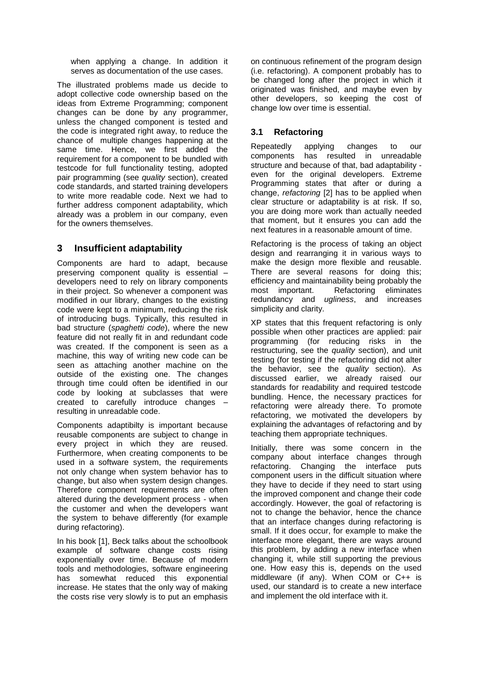when applying a change. In addition it serves as documentation of the use cases.

The illustrated problems made us decide to adopt collective code ownership based on the ideas from Extreme Programming; component changes can be done by any programmer, unless the changed component is tested and the code is integrated right away, to reduce the chance of multiple changes happening at the same time. Hence, we first added the requirement for a component to be bundled with testcode for full functionality testing, adopted pair programming (see *quality* section), created code standards, and started training developers to write more readable code. Next we had to further address component adaptability, which already was a problem in our company, even for the owners themselves.

## **3 Insufficient adaptability**

Components are hard to adapt, because preserving component quality is essential – developers need to rely on library components in their project. So whenever a component was modified in our library, changes to the existing code were kept to a minimum, reducing the risk of introducing bugs. Typically, this resulted in bad structure (*spaghetti code*), where the new feature did not really fit in and redundant code was created. If the component is seen as a machine, this way of writing new code can be seen as attaching another machine on the outside of the existing one. The changes through time could often be identified in our code by looking at subclasses that were created to carefully introduce changes – resulting in unreadable code.

Components adaptibilty is important because reusable components are subject to change in every project in which they are reused. Furthermore, when creating components to be used in a software system, the requirements not only change when system behavior has to change, but also when system design changes. Therefore component requirements are often altered during the development process - when the customer and when the developers want the system to behave differently (for example during refactoring).

In his book [1], Beck talks about the schoolbook example of software change costs rising exponentially over time. Because of modern tools and methodologies, software engineering has somewhat reduced this exponential increase. He states that the only way of making the costs rise very slowly is to put an emphasis on continuous refinement of the program design (i.e. refactoring). A component probably has to be changed long after the project in which it originated was finished, and maybe even by other developers, so keeping the cost of change low over time is essential.

### **3.1 Refactoring**

Repeatedly applying changes to our components has resulted in unreadable structure and because of that, bad adaptability even for the original developers. Extreme Programming states that after or during a change, *refactoring* [2] has to be applied when clear structure or adaptability is at risk. If so, you are doing more work than actually needed that moment, but it ensures you can add the next features in a reasonable amount of time.

Refactoring is the process of taking an object design and rearranging it in various ways to make the design more flexible and reusable. There are several reasons for doing this; efficiency and maintainability being probably the most important. Refactoring eliminates redundancy and *ugliness*, and increases simplicity and clarity.

XP states that this frequent refactoring is only possible when other practices are applied: pair programming (for reducing risks in the restructuring, see the *quality* section), and unit testing (for testing if the refactoring did not alter the behavior, see the *quality* section). As discussed earlier, we already raised our standards for readability and required testcode bundling. Hence, the necessary practices for refactoring were already there. To promote refactoring, we motivated the developers by explaining the advantages of refactoring and by teaching them appropriate techniques.

Initially, there was some concern in the company about interface changes through refactoring. Changing the interface puts component users in the difficult situation where they have to decide if they need to start using the improved component and change their code accordingly. However, the goal of refactoring is not to change the behavior, hence the chance that an interface changes during refactoring is small. If it does occur, for example to make the interface more elegant, there are ways around this problem, by adding a new interface when changing it, while still supporting the previous one. How easy this is, depends on the used middleware (if any). When COM or C++ is used, our standard is to create a new interface and implement the old interface with it.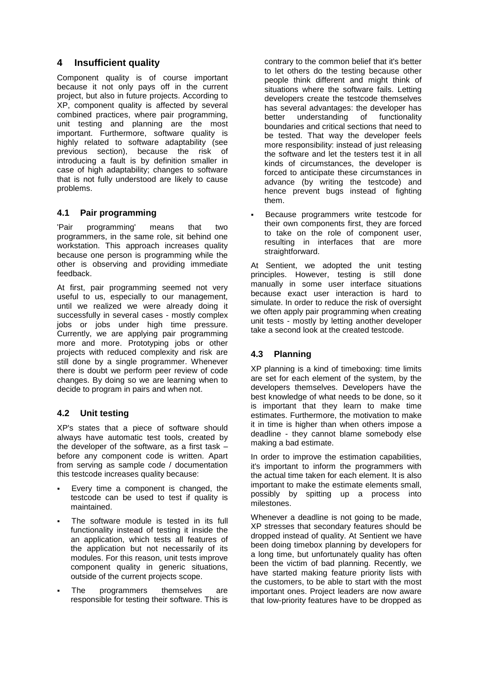# **4 Insufficient quality**

Component quality is of course important because it not only pays off in the current project, but also in future projects. According to XP, component quality is affected by several combined practices, where pair programming, unit testing and planning are the most important. Furthermore, software quality is highly related to software adaptability (see previous section), because the risk of introducing a fault is by definition smaller in case of high adaptability; changes to software that is not fully understood are likely to cause problems.

#### **4.1 Pair programming**

'Pair programming' means that two programmers, in the same role, sit behind one workstation. This approach increases quality because one person is programming while the other is observing and providing immediate feedback.

At first, pair programming seemed not very useful to us, especially to our management, until we realized we were already doing it successfully in several cases - mostly complex jobs or jobs under high time pressure. Currently, we are applying pair programming more and more. Prototyping jobs or other projects with reduced complexity and risk are still done by a single programmer. Whenever there is doubt we perform peer review of code changes. By doing so we are learning when to decide to program in pairs and when not.

## **4.2 Unit testing**

XP's states that a piece of software should always have automatic test tools, created by the developer of the software, as a first task – before any component code is written. Apart from serving as sample code / documentation this testcode increases quality because:

- Every time a component is changed, the testcode can be used to test if quality is maintained.
- The software module is tested in its full functionality instead of testing it inside the an application, which tests all features of the application but not necessarily of its modules. For this reason, unit tests improve component quality in generic situations, outside of the current projects scope.
- The programmers themselves are responsible for testing their software. This is

contrary to the common belief that it's better to let others do the testing because other people think different and might think of situations where the software fails. Letting developers create the testcode themselves has several advantages: the developer has better understanding of functionality boundaries and critical sections that need to be tested. That way the developer feels more responsibility: instead of just releasing the software and let the testers test it in all kinds of circumstances, the developer is forced to anticipate these circumstances in advance (by writing the testcode) and hence prevent bugs instead of fighting them.

 Because programmers write testcode for their own components first, they are forced to take on the role of component user, resulting in interfaces that are more straightforward.

At Sentient, we adopted the unit testing principles. However, testing is still done manually in some user interface situations because exact user interaction is hard to simulate. In order to reduce the risk of oversight we often apply pair programming when creating unit tests - mostly by letting another developer take a second look at the created testcode.

## **4.3 Planning**

XP planning is a kind of timeboxing: time limits are set for each element of the system, by the developers themselves. Developers have the best knowledge of what needs to be done, so it is important that they learn to make time estimates. Furthermore, the motivation to make it in time is higher than when others impose a deadline - they cannot blame somebody else making a bad estimate.

In order to improve the estimation capabilities, it's important to inform the programmers with the actual time taken for each element. It is also important to make the estimate elements small, possibly by spitting up a process into milestones.

Whenever a deadline is not going to be made, XP stresses that secondary features should be dropped instead of quality. At Sentient we have been doing timebox planning by developers for a long time, but unfortunately quality has often been the victim of bad planning. Recently, we have started making feature priority lists with the customers, to be able to start with the most important ones. Project leaders are now aware that low-priority features have to be dropped as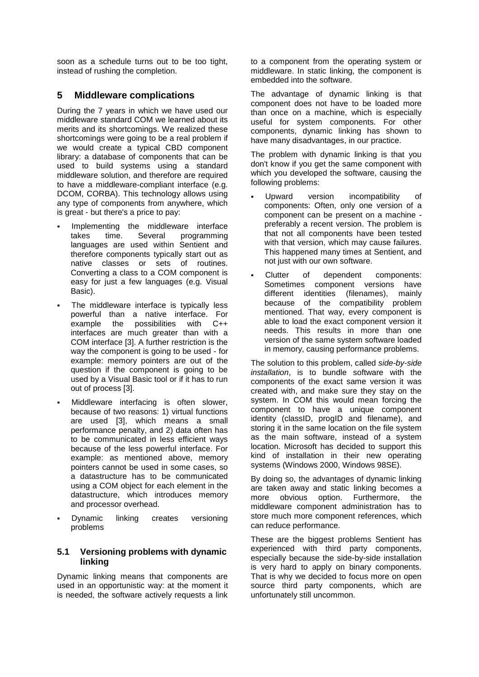soon as a schedule turns out to be too tight, instead of rushing the completion.

### **5 Middleware complications**

During the 7 years in which we have used our middleware standard COM we learned about its merits and its shortcomings. We realized these shortcomings were going to be a real problem if we would create a typical CBD component library: a database of components that can be used to build systems using a standard middleware solution, and therefore are required to have a middleware-compliant interface (e.g. DCOM, CORBA). This technology allows using any type of components from anywhere, which is great - but there's a price to pay:

- Implementing the middleware interface takes time. Several programming languages are used within Sentient and therefore components typically start out as native classes or sets of routines. Converting a class to a COM component is easy for just a few languages (e.g. Visual Basic).
- The middleware interface is typically less powerful than a native interface. For example the possibilities with C++ interfaces are much greater than with a COM interface [3]. A further restriction is the way the component is going to be used - for example: memory pointers are out of the question if the component is going to be used by a Visual Basic tool or if it has to run out of process [3].
- Middleware interfacing is often slower, because of two reasons: 1) virtual functions are used [3], which means a small performance penalty, and 2) data often has to be communicated in less efficient ways because of the less powerful interface. For example: as mentioned above, memory pointers cannot be used in some cases, so a datastructure has to be communicated using a COM object for each element in the datastructure, which introduces memory and processor overhead.
- Dynamic linking creates versioning problems

#### **5.1 Versioning problems with dynamic linking**

Dynamic linking means that components are used in an opportunistic way: at the moment it is needed, the software actively requests a link

to a component from the operating system or middleware. In static linking, the component is embedded into the software.

The advantage of dynamic linking is that component does not have to be loaded more than once on a machine, which is especially useful for system components. For other components, dynamic linking has shown to have many disadvantages, in our practice.

The problem with dynamic linking is that you don't know if you get the same component with which you developed the software, causing the following problems:

- Upward version incompatibility of components: Often, only one version of a component can be present on a machine preferably a recent version. The problem is that not all components have been tested with that version, which may cause failures. This happened many times at Sentient, and not just with our own software.
- Clutter of dependent components: Sometimes component versions have different identities (filenames), mainly because of the compatibility problem mentioned. That way, every component is able to load the exact component version it needs. This results in more than one version of the same system software loaded in memory, causing performance problems.

The solution to this problem, called *side-by-side installation*, is to bundle software with the components of the exact same version it was created with, and make sure they stay on the system. In COM this would mean forcing the component to have a unique component identity (classID, progID and filename), and storing it in the same location on the file system as the main software, instead of a system location. Microsoft has decided to support this kind of installation in their new operating systems (Windows 2000, Windows 98SE).

By doing so, the advantages of dynamic linking are taken away and static linking becomes a more obvious option. Furthermore, the middleware component administration has to store much more component references, which can reduce performance.

These are the biggest problems Sentient has experienced with third party components, especially because the side-by-side installation is very hard to apply on binary components. That is why we decided to focus more on open source third party components, which are unfortunately still uncommon.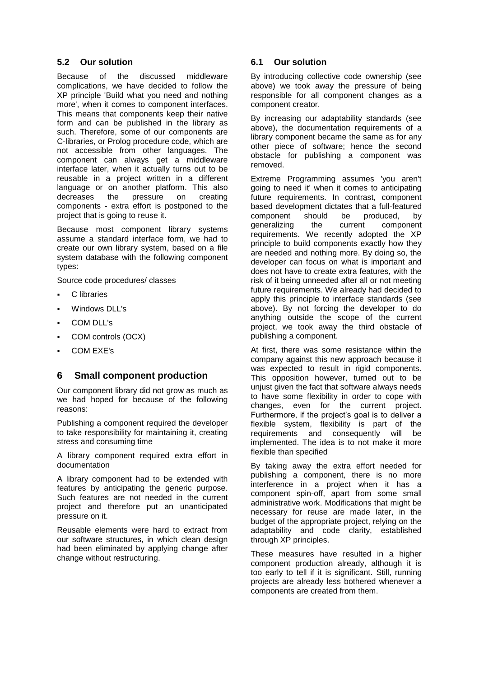#### **5.2 Our solution**

Because of the discussed middleware complications, we have decided to follow the XP principle 'Build what you need and nothing more', when it comes to component interfaces. This means that components keep their native form and can be published in the library as such. Therefore, some of our components are C-libraries, or Prolog procedure code, which are not accessible from other languages. The component can always get a middleware interface later, when it actually turns out to be reusable in a project written in a different language or on another platform. This also decreases the pressure on creating components - extra effort is postponed to the project that is going to reuse it.

Because most component library systems assume a standard interface form, we had to create our own library system, based on a file system database with the following component types:

Source code procedures/ classes

- C libraries
- Windows DLL's
- COM DLL's
- COM controls (OCX)
- COM EXE's

#### **6 Small component production**

Our component library did not grow as much as we had hoped for because of the following reasons:

Publishing a component required the developer to take responsibility for maintaining it, creating stress and consuming time

A library component required extra effort in documentation

A library component had to be extended with features by anticipating the generic purpose. Such features are not needed in the current project and therefore put an unanticipated pressure on it.

Reusable elements were hard to extract from our software structures, in which clean design had been eliminated by applying change after change without restructuring.

#### **6.1 Our solution**

By introducing collective code ownership (see above) we took away the pressure of being responsible for all component changes as a component creator.

By increasing our adaptability standards (see above), the documentation requirements of a library component became the same as for any other piece of software; hence the second obstacle for publishing a component was removed.

Extreme Programming assumes 'you aren't going to need it' when it comes to anticipating future requirements. In contrast, component based development dictates that a full-featured component should be produced, by generalizing the current component requirements. We recently adopted the XP principle to build components exactly how they are needed and nothing more. By doing so, the developer can focus on what is important and does not have to create extra features, with the risk of it being unneeded after all or not meeting future requirements. We already had decided to apply this principle to interface standards (see above). By not forcing the developer to do anything outside the scope of the current project, we took away the third obstacle of publishing a component.

At first, there was some resistance within the company against this new approach because it was expected to result in rigid components. This opposition however, turned out to be unjust given the fact that software always needs to have some flexibility in order to cope with changes, even for the current project. Furthermore, if the project's goal is to deliver a flexible system, flexibility is part of the requirements and consequently will be implemented. The idea is to not make it more flexible than specified

By taking away the extra effort needed for publishing a component, there is no more interference in a project when it has a component spin-off, apart from some small administrative work. Modifications that might be necessary for reuse are made later, in the budget of the appropriate project, relying on the adaptability and code clarity, established through XP principles.

These measures have resulted in a higher component production already, although it is too early to tell if it is significant. Still, running projects are already less bothered whenever a components are created from them.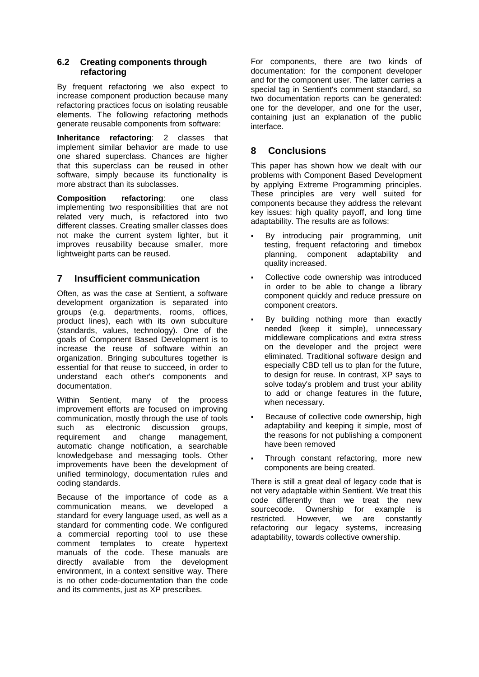#### **6.2 Creating components through refactoring**

By frequent refactoring we also expect to increase component production because many refactoring practices focus on isolating reusable elements. The following refactoring methods generate reusable components from software:

**Inheritance refactoring**: 2 classes that implement similar behavior are made to use one shared superclass. Chances are higher that this superclass can be reused in other software, simply because its functionality is more abstract than its subclasses.

**Composition refactoring**: one class implementing two responsibilities that are not related very much, is refactored into two different classes. Creating smaller classes does not make the current system lighter, but it improves reusability because smaller, more lightweight parts can be reused.

## **7 Insufficient communication**

Often, as was the case at Sentient, a software development organization is separated into groups (e.g. departments, rooms, offices, product lines), each with its own subculture (standards, values, technology). One of the goals of Component Based Development is to increase the reuse of software within an organization. Bringing subcultures together is essential for that reuse to succeed, in order to understand each other's components and documentation.

Within Sentient, many of the process improvement efforts are focused on improving communication, mostly through the use of tools such as electronic discussion groups, requirement and change management, automatic change notification, a searchable knowledgebase and messaging tools. Other improvements have been the development of unified terminology, documentation rules and coding standards.

Because of the importance of code as a communication means, we developed a standard for every language used, as well as a standard for commenting code. We configured a commercial reporting tool to use these comment templates to create hypertext manuals of the code. These manuals are directly available from the development environment, in a context sensitive way. There is no other code-documentation than the code and its comments, just as XP prescribes.

For components, there are two kinds of documentation: for the component developer and for the component user. The latter carries a special tag in Sentient's comment standard, so two documentation reports can be generated: one for the developer, and one for the user, containing just an explanation of the public interface.

#### **8 Conclusions**

This paper has shown how we dealt with our problems with Component Based Development by applying Extreme Programming principles. These principles are very well suited for components because they address the relevant key issues: high quality payoff, and long time adaptability. The results are as follows:

- By introducing pair programming, unit testing, frequent refactoring and timebox planning, component adaptability and quality increased.
- Collective code ownership was introduced in order to be able to change a library component quickly and reduce pressure on component creators.
- By building nothing more than exactly needed (keep it simple), unnecessary middleware complications and extra stress on the developer and the project were eliminated. Traditional software design and especially CBD tell us to plan for the future, to design for reuse. In contrast, XP says to solve today's problem and trust your ability to add or change features in the future, when necessary.
- Because of collective code ownership, high adaptability and keeping it simple, most of the reasons for not publishing a component have been removed
- Through constant refactoring, more new components are being created.

There is still a great deal of legacy code that is not very adaptable within Sentient. We treat this code differently than we treat the new sourcecode. Ownership for example is restricted. However, we are constantly refactoring our legacy systems, increasing adaptability, towards collective ownership.